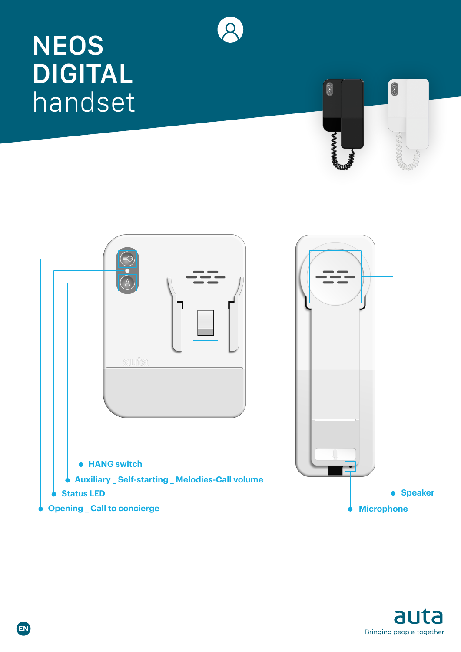# **NEOS DIGITAL** handset